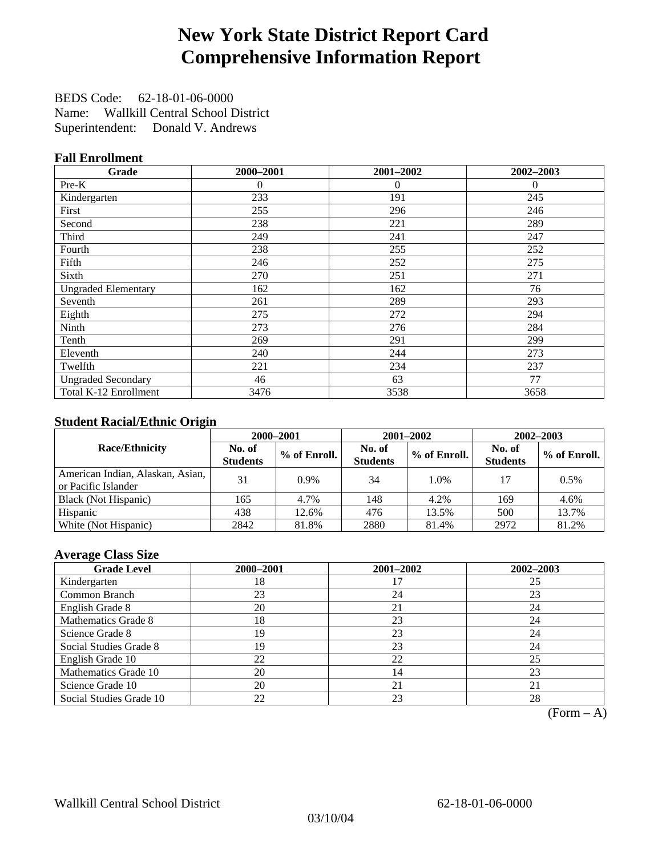# **New York State District Report Card Comprehensive Information Report**

BEDS Code: 62-18-01-06-0000 Name: Wallkill Central School District Superintendent: Donald V. Andrews

### **Fall Enrollment**

| Grade                      | 2000-2001 | 2001-2002 | 2002-2003 |
|----------------------------|-----------|-----------|-----------|
| Pre-K                      | $\theta$  | $\theta$  | $\theta$  |
| Kindergarten               | 233       | 191       | 245       |
| First                      | 255       | 296       | 246       |
| Second                     | 238       | 221       | 289       |
| Third                      | 249       | 241       | 247       |
| Fourth                     | 238       | 255       | 252       |
| Fifth                      | 246       | 252       | 275       |
| Sixth                      | 270       | 251       | 271       |
| <b>Ungraded Elementary</b> | 162       | 162       | 76        |
| Seventh                    | 261       | 289       | 293       |
| Eighth                     | 275       | 272       | 294       |
| Ninth                      | 273       | 276       | 284       |
| Tenth                      | 269       | 291       | 299       |
| Eleventh                   | 240       | 244       | 273       |
| Twelfth                    | 221       | 234       | 237       |
| <b>Ungraded Secondary</b>  | 46        | 63        | 77        |
| Total K-12 Enrollment      | 3476      | 3538      | 3658      |

### **Student Racial/Ethnic Origin**

|                                                         |                           | 2000-2001<br>2001-2002<br>$2002 - 2003$ |                           |              |                           |                |
|---------------------------------------------------------|---------------------------|-----------------------------------------|---------------------------|--------------|---------------------------|----------------|
| <b>Race/Ethnicity</b>                                   | No. of<br><b>Students</b> | % of Enroll.                            | No. of<br><b>Students</b> | % of Enroll. | No. of<br><b>Students</b> | $%$ of Enroll. |
| American Indian, Alaskan, Asian,<br>or Pacific Islander | 31                        | $0.9\%$                                 | 34                        | 1.0%         | 17                        | 0.5%           |
| Black (Not Hispanic)                                    | 165                       | 4.7%                                    | 148                       | 4.2%         | 169                       | 4.6%           |
| Hispanic                                                | 438                       | 12.6%                                   | 476                       | 13.5%        | 500                       | 13.7%          |
| White (Not Hispanic)                                    | 2842                      | 81.8%                                   | 2880                      | 81.4%        | 2972                      | 81.2%          |

#### **Average Class Size**

| <b>Grade Level</b>      | 2000-2001 | 2001-2002 | $2002 - 2003$ |
|-------------------------|-----------|-----------|---------------|
| Kindergarten            | 18        |           | 25            |
| Common Branch           | 23        | 24        | 23            |
| English Grade 8         | 20        | 21        | 24            |
| Mathematics Grade 8     | 18        | 23        | 24            |
| Science Grade 8         | 19        | 23        | 24            |
| Social Studies Grade 8  | 19        | 23        | 24            |
| English Grade 10        | 22        | 22        | 25            |
| Mathematics Grade 10    | 20        | 14        | 23            |
| Science Grade 10        | 20        | 21        | 21            |
| Social Studies Grade 10 | 22        | 23        | 28            |

 $(Form - A)$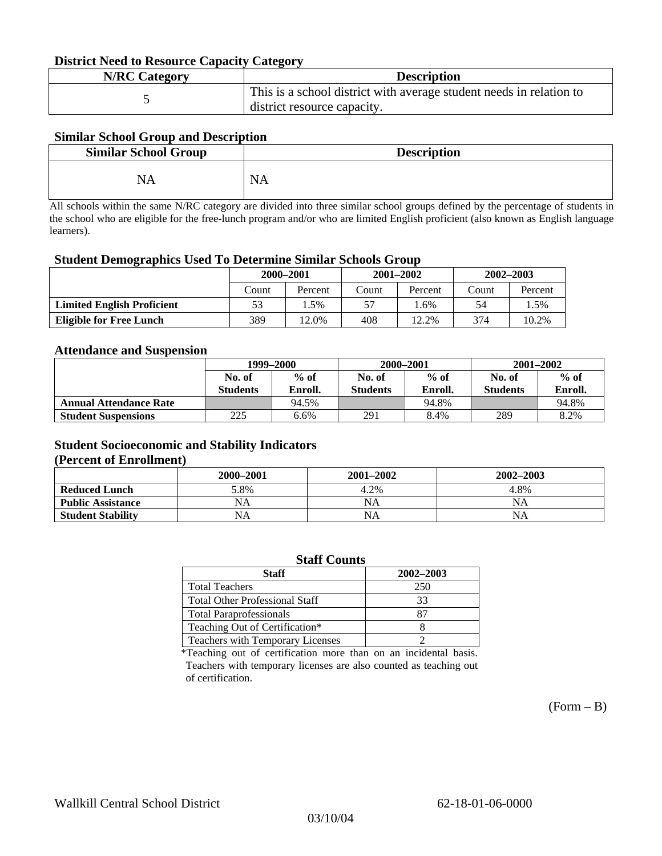#### **District Need to Resource Capacity Category**

| <b>N/RC Category</b> | <b>Description</b>                                                                                 |
|----------------------|----------------------------------------------------------------------------------------------------|
|                      | This is a school district with average student needs in relation to<br>district resource capacity. |

#### **Similar School Group and Description**

| <b>Similar School Group</b> | <b>Description</b> |
|-----------------------------|--------------------|
| NΔ                          | N<br>мA            |

All schools within the same N/RC category are divided into three similar school groups defined by the percentage of students in the school who are eligible for the free-lunch program and/or who are limited English proficient (also known as English language learners).

#### **Student Demographics Used To Determine Similar Schools Group**

| 0                                 | 2000-2001 |         |       | $2001 - 2002$ | $2002 - 2003$ |         |
|-----------------------------------|-----------|---------|-------|---------------|---------------|---------|
|                                   | Count     | Percent | Count | Percent       | Count         | Percent |
| <b>Limited English Proficient</b> | 53        | . .5%   | 57    | . .6%         | 54            | . .5%   |
| <b>Eligible for Free Lunch</b>    | 389       | 12.0%   | 408   | 12.2%         | 374           | 10.2%   |

#### **Attendance and Suspension**

|                               | 1999–2000       |         |                 | 2000-2001 | $2001 - 2002$   |         |
|-------------------------------|-----------------|---------|-----------------|-----------|-----------------|---------|
|                               | No. of          | $%$ of  | No. of          | $%$ of    | No. of          | $\%$ of |
|                               | <b>Students</b> | Enroll. | <b>Students</b> | Enroll.   | <b>Students</b> | Enroll. |
| <b>Annual Attendance Rate</b> |                 | 94.5%   |                 | 94.8%     |                 | 94.8%   |
| <b>Student Suspensions</b>    | 225             | 6.6%    | 291             | 8.4%      | 289             | 8.2%    |

### **Student Socioeconomic and Stability Indicators**

#### **(Percent of Enrollment)**

|                          | 2000–2001 | $2001 - 2002$ | 2002-2003 |
|--------------------------|-----------|---------------|-----------|
| <b>Reduced Lunch</b>     | 5.8%      | 4.2%          | 4.8%      |
| <b>Public Assistance</b> | NA        | NA            | NA        |
| <b>Student Stability</b> | NA        | NA            | NA        |

| <b>Staff Counts</b>                   |     |  |  |  |  |
|---------------------------------------|-----|--|--|--|--|
| 2002-2003<br><b>Staff</b>             |     |  |  |  |  |
| <b>Total Teachers</b>                 | 250 |  |  |  |  |
| <b>Total Other Professional Staff</b> | 33  |  |  |  |  |
| <b>Total Paraprofessionals</b>        | 87  |  |  |  |  |
| Teaching Out of Certification*        |     |  |  |  |  |
| Teachers with Temporary Licenses      |     |  |  |  |  |

\*Teaching out of certification more than on an incidental basis. Teachers with temporary licenses are also counted as teaching out of certification.

 $(Form - B)$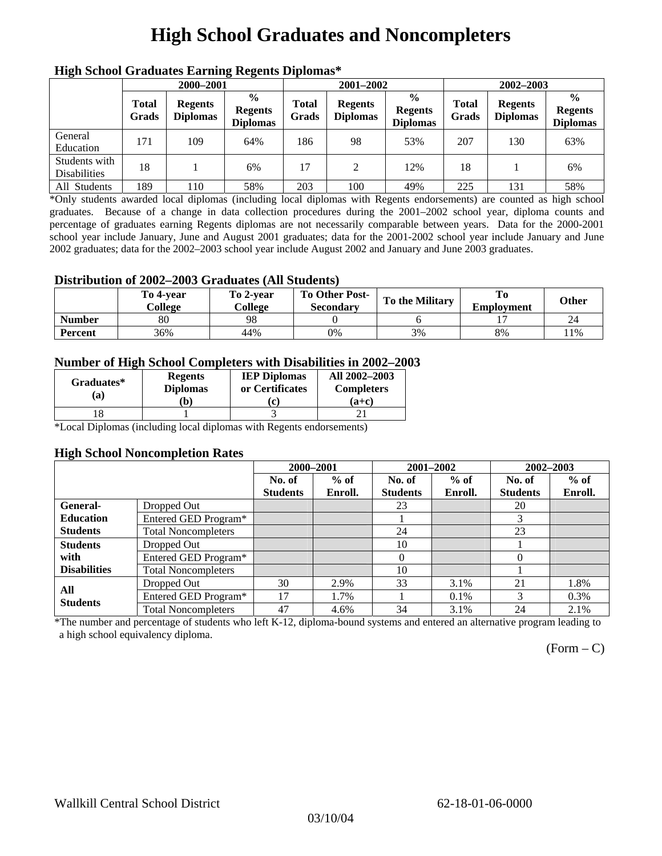# **High School Graduates and Noncompleters**

| ніді эспол этайнакі патінід кеденія вірюшая |                       |                                   |                                                    |                       |                                   |                                                    |                       |                                   |                                                    |  |
|---------------------------------------------|-----------------------|-----------------------------------|----------------------------------------------------|-----------------------|-----------------------------------|----------------------------------------------------|-----------------------|-----------------------------------|----------------------------------------------------|--|
|                                             | 2000-2001             |                                   |                                                    |                       | 2001-2002                         |                                                    |                       | 2002-2003                         |                                                    |  |
|                                             | <b>Total</b><br>Grads | <b>Regents</b><br><b>Diplomas</b> | $\frac{0}{0}$<br><b>Regents</b><br><b>Diplomas</b> | <b>Total</b><br>Grads | <b>Regents</b><br><b>Diplomas</b> | $\frac{6}{6}$<br><b>Regents</b><br><b>Diplomas</b> | <b>Total</b><br>Grads | <b>Regents</b><br><b>Diplomas</b> | $\frac{0}{0}$<br><b>Regents</b><br><b>Diplomas</b> |  |
| General<br>Education                        | 171                   | 109                               | 64%                                                | 186                   | 98                                | 53%                                                | 207                   | 130                               | 63%                                                |  |
| Students with<br><b>Disabilities</b>        | 18                    |                                   | 6%                                                 | 17                    | 2                                 | 12%                                                | 18                    |                                   | 6%                                                 |  |
| All Students                                | 189                   | 110                               | 58%                                                | 203                   | 100                               | 49%                                                | 225                   | 131                               | 58%                                                |  |

### **High School Graduates Earning Regents Diplomas\***

\*Only students awarded local diplomas (including local diplomas with Regents endorsements) are counted as high school graduates. Because of a change in data collection procedures during the 2001–2002 school year, diploma counts and percentage of graduates earning Regents diplomas are not necessarily comparable between years. Data for the 2000-2001 school year include January, June and August 2001 graduates; data for the 2001-2002 school year include January and June 2002 graduates; data for the 2002–2003 school year include August 2002 and January and June 2003 graduates.

### **Distribution of 2002–2003 Graduates (All Students)**

|               | To 4-vear<br>College | To 2-vear<br>College | <b>To Other Post-</b><br><b>Secondary</b> | To the Military | To<br><b>Employment</b> | <b>Other</b> |
|---------------|----------------------|----------------------|-------------------------------------------|-----------------|-------------------------|--------------|
| <b>Number</b> | 80                   | 98                   |                                           |                 |                         |              |
| Percent       | 36%                  | 44%                  | 0%                                        | 3%              | 8%                      | 11%          |

### **Number of High School Completers with Disabilities in 2002–2003**

| Graduates*<br>(a) | <b>Regents</b><br><b>Diplomas</b> | <b>IEP Diplomas</b><br>or Certificates | All 2002-2003<br><b>Completers</b> |  |
|-------------------|-----------------------------------|----------------------------------------|------------------------------------|--|
|                   | b)                                |                                        | $(a+c)$                            |  |
|                   |                                   |                                        |                                    |  |

\*Local Diplomas (including local diplomas with Regents endorsements)

#### **High School Noncompletion Rates**

|                        |                            | 2000-2001       |         | 2001-2002       |         | 2002-2003       |         |
|------------------------|----------------------------|-----------------|---------|-----------------|---------|-----------------|---------|
|                        |                            | No. of          | $%$ of  | No. of          | $%$ of  | No. of          | $%$ of  |
|                        |                            | <b>Students</b> | Enroll. | <b>Students</b> | Enroll. | <b>Students</b> | Enroll. |
| <b>General-</b>        | Dropped Out                |                 |         | 23              |         | 20              |         |
| <b>Education</b>       | Entered GED Program*       |                 |         |                 |         | 3               |         |
| <b>Students</b>        | <b>Total Noncompleters</b> |                 |         | 24              |         | 23              |         |
| <b>Students</b>        | Dropped Out                |                 |         | 10              |         |                 |         |
| with                   | Entered GED Program*       |                 |         | $\theta$        |         | $\Omega$        |         |
| <b>Disabilities</b>    | <b>Total Noncompleters</b> |                 |         | 10              |         |                 |         |
|                        | Dropped Out                | 30              | 2.9%    | 33              | 3.1%    | 21              | 1.8%    |
| All<br><b>Students</b> | Entered GED Program*       | 17              | 1.7%    |                 | $0.1\%$ | 3               | $0.3\%$ |
|                        | <b>Total Noncompleters</b> | 47              | 4.6%    | 34              | 3.1%    | 24              | 2.1%    |

\*The number and percentage of students who left K-12, diploma-bound systems and entered an alternative program leading to a high school equivalency diploma.

 $(Form - C)$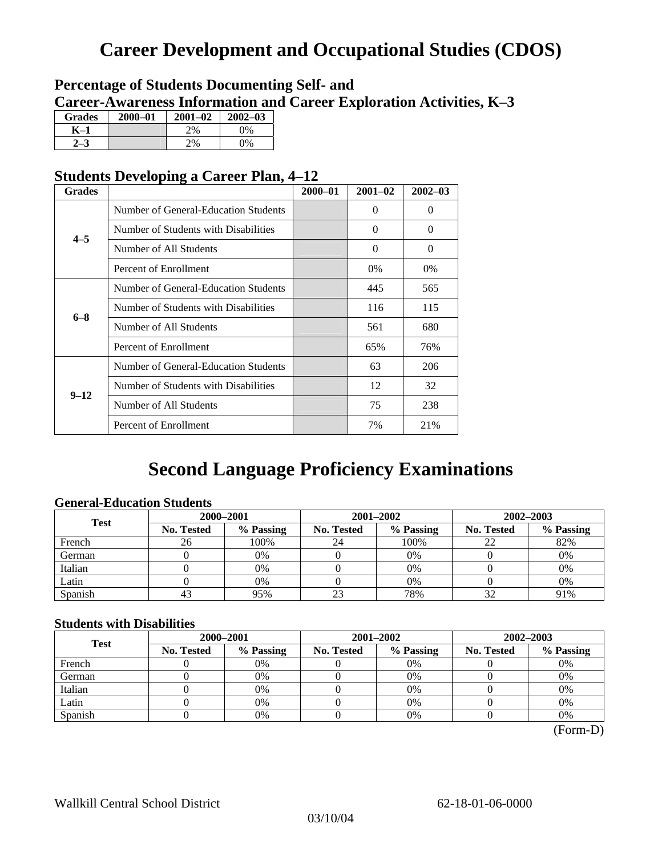## **Career Development and Occupational Studies (CDOS)**

### **Percentage of Students Documenting Self- and Career-Awareness Information and Career Exploration Activities, K–3**

| <b>Grades</b> | $2000 - 01$ | $2001 - 02$ | $2002 - 03$ |
|---------------|-------------|-------------|-------------|
| K-1           |             | 2%          | $0\%$       |
|               |             | 2%          | 9%          |

### **Students Developing a Career Plan, 4–12**

| <b>Grades</b>                                                                                                                                      |                                      | $2000 - 01$ | $2001 - 02$ | $2002 - 03$ |
|----------------------------------------------------------------------------------------------------------------------------------------------------|--------------------------------------|-------------|-------------|-------------|
|                                                                                                                                                    | Number of General-Education Students |             | $\theta$    | $\theta$    |
|                                                                                                                                                    | Number of Students with Disabilities |             | 0           | $\Omega$    |
|                                                                                                                                                    | Number of All Students               |             | $\theta$    | $\Omega$    |
|                                                                                                                                                    | Percent of Enrollment                |             | $0\%$       | 0%          |
|                                                                                                                                                    | Number of General-Education Students |             | 445         | 565         |
|                                                                                                                                                    | Number of Students with Disabilities |             | 116         | 115         |
|                                                                                                                                                    | Number of All Students               |             | 561         | 680         |
| $4 - 5$<br>$6 - 8$<br>Percent of Enrollment<br>Number of Students with Disabilities<br>$9 - 12$<br>Number of All Students<br>Percent of Enrollment |                                      | 65%         | 76%         |             |
|                                                                                                                                                    | Number of General-Education Students |             | 63          | 206         |
|                                                                                                                                                    |                                      |             | 12          | 32          |
|                                                                                                                                                    |                                      |             | 75          | 238         |
|                                                                                                                                                    |                                      |             | 7%          | 21%         |

## **Second Language Proficiency Examinations**

### **General-Education Students**

| <b>Test</b> | 2000-2001         |           |                                                                                                              |           | 2002-2003 |     |  |
|-------------|-------------------|-----------|--------------------------------------------------------------------------------------------------------------|-----------|-----------|-----|--|
|             | <b>No. Tested</b> | % Passing | 2001-2002<br>% Passing<br><b>No. Tested</b><br><b>No. Tested</b><br>100%<br>24<br>22<br>$0\%$<br>0%<br>$0\%$ | % Passing |           |     |  |
| French      | 26                | 100%      |                                                                                                              |           |           | 82% |  |
| German      |                   | 0%        |                                                                                                              |           |           | 0%  |  |
| Italian     |                   | 0%        |                                                                                                              |           |           | 0%  |  |
| Latin       |                   | 0%        |                                                                                                              |           |           | 0%  |  |
| Spanish     | 43                | 95%       | 23                                                                                                           | 78%       |           | 91% |  |

### **Students with Disabilities**

| <b>Test</b> | 2000-2001         |           |                                                                                      |           | 2002-2003 |    |  |
|-------------|-------------------|-----------|--------------------------------------------------------------------------------------|-----------|-----------|----|--|
|             | <b>No. Tested</b> | % Passing | 2001-2002<br>% Passing<br>No. Tested<br><b>No. Tested</b><br>0%<br>0%<br>0%<br>$0\%$ | % Passing |           |    |  |
| French      |                   | 0%        |                                                                                      |           |           | 0% |  |
| German      |                   | 0%        |                                                                                      |           |           | 0% |  |
| Italian     |                   | 0%        |                                                                                      |           |           | 0% |  |
| Latin       |                   | 0%        |                                                                                      |           |           | 0% |  |
| Spanish     |                   | 0%        |                                                                                      | 0%        |           | 0% |  |

 <sup>(</sup>Form-D)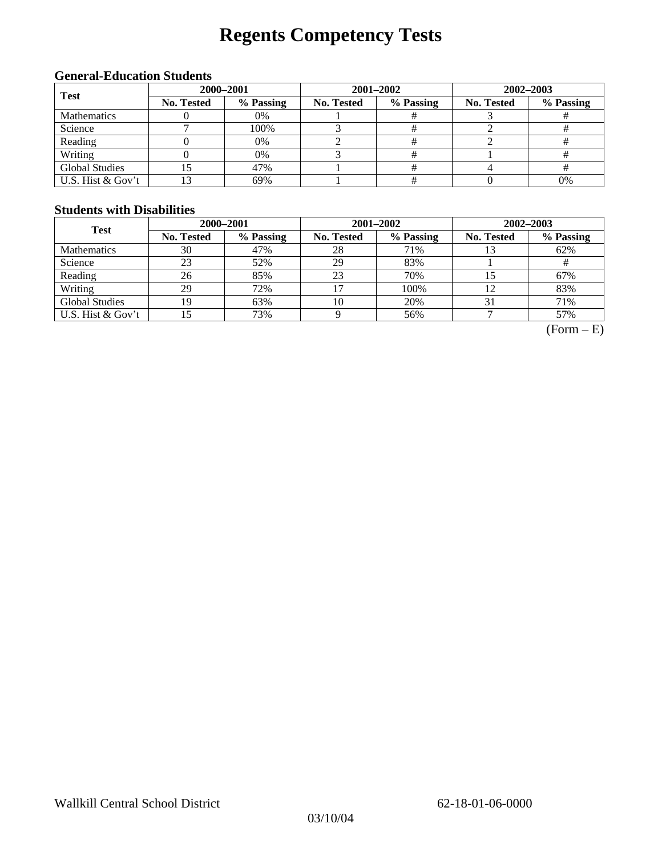# **Regents Competency Tests**

### **General-Education Students**

| <b>Test</b>           | 2000-2001  |           |                                                    | 2002-2003 |    |  |
|-----------------------|------------|-----------|----------------------------------------------------|-----------|----|--|
|                       | No. Tested | % Passing | 2001-2002<br>No. Tested<br>% Passing<br>No. Tested | % Passing |    |  |
| <b>Mathematics</b>    |            | 0%        |                                                    |           |    |  |
| Science               |            | 100%      |                                                    |           |    |  |
| Reading               |            | 0%        |                                                    |           |    |  |
| Writing               |            | 0%        |                                                    |           |    |  |
| <b>Global Studies</b> |            | 47%       |                                                    |           |    |  |
| U.S. Hist & Gov't     |            | 69%       |                                                    |           | 0% |  |

#### **Students with Disabilities**

| <b>Test</b>           | 2000-2001         |           |            |                                                                                             | 2002-2003 |     |  |
|-----------------------|-------------------|-----------|------------|---------------------------------------------------------------------------------------------|-----------|-----|--|
|                       | <b>No. Tested</b> | % Passing | No. Tested | 2001-2002<br>% Passing<br><b>No. Tested</b><br>71%<br>83%<br>70%<br>100%<br>12<br>20%<br>31 | % Passing |     |  |
| <b>Mathematics</b>    | 30                | 47%       | 28         |                                                                                             |           | 62% |  |
| Science               | 23                | 52%       | 29         |                                                                                             |           |     |  |
| Reading               | 26                | 85%       | 23         |                                                                                             |           | 67% |  |
| Writing               | 29                | 72%       |            |                                                                                             |           | 83% |  |
| <b>Global Studies</b> | 19                | 63%       | 10         |                                                                                             |           | 71% |  |
| U.S. Hist & Gov't     |                   | 73%       |            | 56%                                                                                         |           | 57% |  |

 $(Form - E)$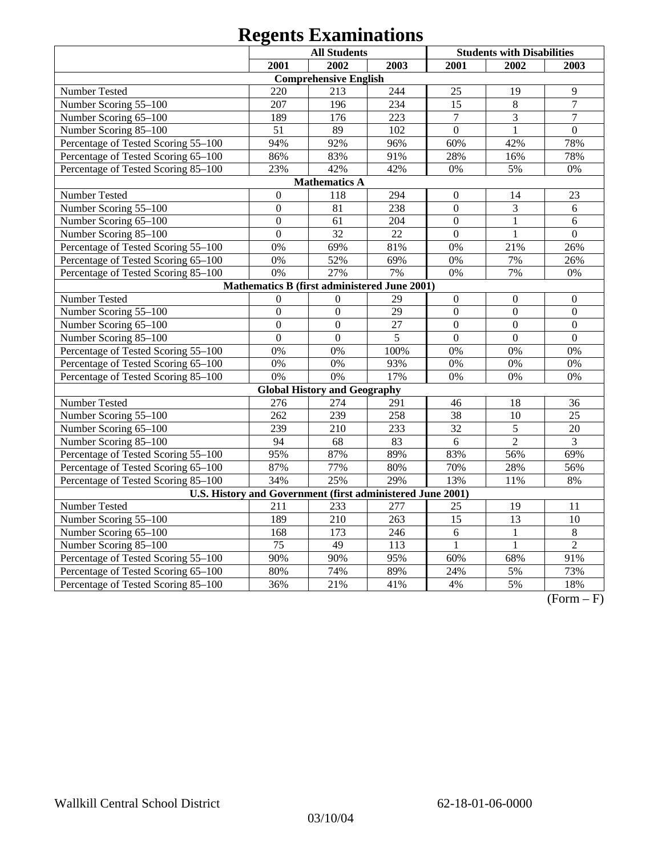|                                                            |                  | <b>All Students</b>                          |                 |                  | <b>Students with Disabilities</b> |                  |
|------------------------------------------------------------|------------------|----------------------------------------------|-----------------|------------------|-----------------------------------|------------------|
|                                                            | 2001             | 2002                                         | 2003            | 2001             | 2002                              | 2003             |
|                                                            |                  | <b>Comprehensive English</b>                 |                 |                  |                                   |                  |
| Number Tested                                              | 220              | 213                                          | 244             | 25               | 19                                | 9                |
| Number Scoring 55-100                                      | 207              | 196                                          | 234             | 15               | $\,8\,$                           | $\overline{7}$   |
| Number Scoring 65-100                                      | 189              | 176                                          | 223             | $\overline{7}$   | $\overline{3}$                    | $\overline{7}$   |
| Number Scoring 85-100                                      | 51               | 89                                           | 102             | $\overline{0}$   | $\mathbf{1}$                      | $\overline{0}$   |
| Percentage of Tested Scoring 55-100                        | 94%              | 92%                                          | 96%             | 60%              | 42%                               | 78%              |
| Percentage of Tested Scoring 65-100                        | 86%              | 83%                                          | 91%             | 28%              | 16%                               | 78%              |
| Percentage of Tested Scoring 85-100                        | 23%              | 42%                                          | 42%             | 0%               | 5%                                | $0\%$            |
|                                                            |                  | <b>Mathematics A</b>                         |                 |                  |                                   |                  |
| Number Tested                                              | $\overline{0}$   | 118                                          | 294             | $\mathbf{0}$     | 14                                | 23               |
| Number Scoring 55-100                                      | $\boldsymbol{0}$ | 81                                           | 238             | $\mathbf{0}$     | $\overline{3}$                    | $6\,$            |
| Number Scoring 65-100                                      | $\overline{0}$   | 61                                           | 204             | $\overline{0}$   | 1                                 | 6                |
| Number Scoring 85-100                                      | $\boldsymbol{0}$ | 32                                           | 22              | $\boldsymbol{0}$ | 1                                 | $\boldsymbol{0}$ |
| Percentage of Tested Scoring 55-100                        | 0%               | 69%                                          | 81%             | 0%               | 21%                               | 26%              |
| Percentage of Tested Scoring 65-100                        | 0%               | 52%                                          | 69%             | 0%               | 7%                                | 26%              |
| Percentage of Tested Scoring 85-100                        | 0%               | 27%                                          | 7%              | 0%               | 7%                                | 0%               |
|                                                            |                  | Mathematics B (first administered June 2001) |                 |                  |                                   |                  |
| Number Tested                                              | $\theta$         | $\Omega$                                     | 29              | $\boldsymbol{0}$ | $\boldsymbol{0}$                  | $\boldsymbol{0}$ |
| Number Scoring 55-100                                      | $\overline{0}$   | $\overline{0}$                               | $\overline{29}$ | $\overline{0}$   | $\overline{0}$                    | $\mathbf{0}$     |
| Number Scoring 65-100                                      | $\overline{0}$   | $\mathbf{0}$                                 | 27              | $\mathbf{0}$     | $\overline{0}$                    | $\mathbf{0}$     |
| Number Scoring 85-100                                      | $\overline{0}$   | $\mathbf{0}$                                 | 5               | $\overline{0}$   | $\overline{0}$                    | $\overline{0}$   |
| Percentage of Tested Scoring 55-100                        | 0%               | 0%                                           | 100%            | 0%               | 0%                                | 0%               |
| Percentage of Tested Scoring 65-100                        | 0%               | 0%                                           | 93%             | 0%               | 0%                                | 0%               |
| Percentage of Tested Scoring 85-100                        | 0%               | 0%                                           | 17%             | 0%               | 0%                                | $0\%$            |
|                                                            |                  | <b>Global History and Geography</b>          |                 |                  |                                   |                  |
| Number Tested                                              | 276              | 274                                          | 291             | 46               | 18                                | 36               |
| Number Scoring 55-100                                      | 262              | 239                                          | 258             | 38               | 10                                | 25               |
| Number Scoring 65-100                                      | 239              | 210                                          | 233             | 32               | $\overline{5}$                    | 20               |
| Number Scoring 85-100                                      | 94               | 68                                           | 83              | 6                | $\overline{2}$                    | $\overline{3}$   |
| Percentage of Tested Scoring 55-100                        | 95%              | 87%                                          | 89%             | 83%              | 56%                               | 69%              |
| Percentage of Tested Scoring 65-100                        | 87%              | 77%                                          | 80%             | 70%              | 28%                               | 56%              |
| Percentage of Tested Scoring 85-100                        | 34%              | 25%                                          | 29%             | 13%              | 11%                               | 8%               |
| U.S. History and Government (first administered June 2001) |                  |                                              |                 |                  |                                   |                  |
| Number Tested                                              | 211              | 233                                          | 277             | 25               | 19                                | 11               |
| Number Scoring 55-100                                      | 189              | 210                                          | 263             | $\overline{15}$  | $\overline{13}$                   | $\overline{10}$  |
| Number Scoring 65-100                                      | 168              | $\overline{173}$                             | 246             | $\overline{6}$   | $\mathbf{1}$                      | $\overline{8}$   |
| Number Scoring 85-100                                      | $\overline{75}$  | $\overline{49}$                              | 113             | $\mathbf{1}$     | $\mathbf{1}$                      | $\overline{2}$   |
| Percentage of Tested Scoring 55-100                        | 90%              | 90%                                          | 95%             | 60%              | 68%                               | 91%              |
| Percentage of Tested Scoring 65-100                        | 80%              | 74%                                          | 89%             | 24%              | 5%                                | 73%              |
| Percentage of Tested Scoring 85-100                        | 36%              | 21%                                          | 41%             | 4%               | 5%                                | 18%              |

 $(Form - F)$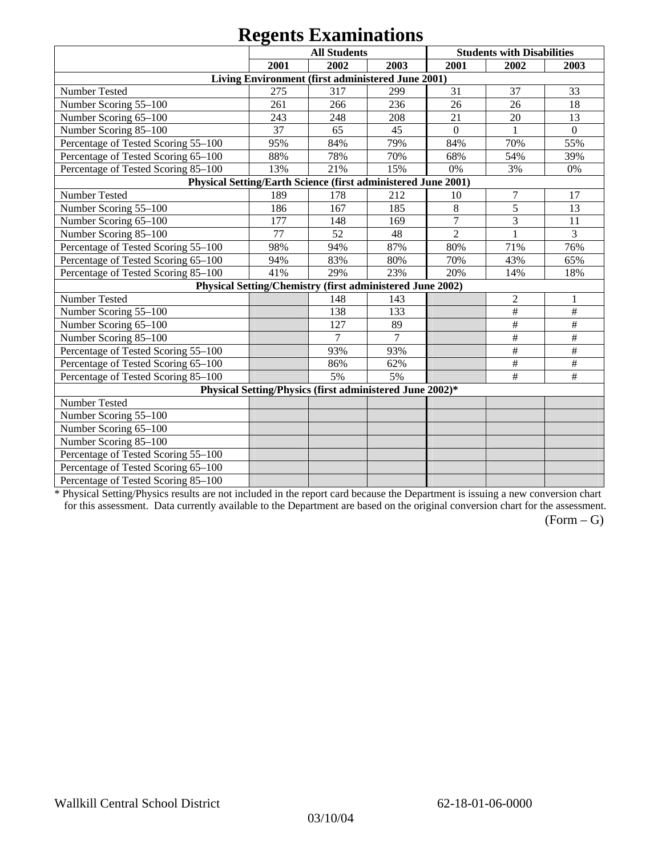|                                                               |      | $\sim$                                                    |      |                |                                   |              |
|---------------------------------------------------------------|------|-----------------------------------------------------------|------|----------------|-----------------------------------|--------------|
|                                                               |      | <b>All Students</b>                                       |      |                | <b>Students with Disabilities</b> |              |
|                                                               | 2001 | 2002                                                      | 2003 | 2001           | 2002                              | 2003         |
|                                                               |      | Living Environment (first administered June 2001)         |      |                |                                   |              |
| Number Tested                                                 | 275  | 317                                                       | 299  | 31             | 37                                | 33           |
| Number Scoring 55-100                                         | 261  | 266                                                       | 236  | 26             | 26                                | 18           |
| Number Scoring 65-100                                         | 243  | 248                                                       | 208  | 21             | 20                                | 13           |
| Number Scoring 85-100                                         | 37   | 65                                                        | 45   | $\overline{0}$ |                                   | $\mathbf{0}$ |
| Percentage of Tested Scoring 55-100                           | 95%  | 84%                                                       | 79%  | 84%            | 70%                               | 55%          |
| Percentage of Tested Scoring 65-100                           | 88%  | 78%                                                       | 70%  | 68%            | 54%                               | 39%          |
| Percentage of Tested Scoring 85-100                           | 13%  | 21%                                                       | 15%  | 0%             | 3%                                | 0%           |
| Physical Setting/Earth Science (first administered June 2001) |      |                                                           |      |                |                                   |              |
| Number Tested                                                 | 189  | 178                                                       | 212  | 10             | 7                                 | 17           |
| Number Scoring 55-100                                         | 186  | 167                                                       | 185  | 8              | 5                                 | 13           |
| Number Scoring 65-100                                         | 177  | 148                                                       | 169  | $\overline{7}$ | 3                                 | 11           |
| Number Scoring 85-100                                         | 77   | 52                                                        | 48   | $\overline{2}$ | 1                                 | 3            |
| Percentage of Tested Scoring 55-100                           | 98%  | 94%                                                       | 87%  | 80%            | 71%                               | 76%          |
| Percentage of Tested Scoring 65-100                           | 94%  | 83%                                                       | 80%  | 70%            | 43%                               | 65%          |
| Percentage of Tested Scoring 85-100                           | 41%  | 29%                                                       | 23%  | 20%            | 14%                               | 18%          |
|                                                               |      | Physical Setting/Chemistry (first administered June 2002) |      |                |                                   |              |
| Number Tested                                                 |      | 148                                                       | 143  |                | $\overline{2}$                    |              |
| Number Scoring 55-100                                         |      | 138                                                       | 133  |                | $\#$                              | $\#$         |
| Number Scoring 65-100                                         |      | 127                                                       | 89   |                | $\#$                              | $\#$         |
| Number Scoring 85-100                                         |      | $\overline{7}$                                            | 7    |                | $\#$                              | $\#$         |
| Percentage of Tested Scoring 55-100                           |      | 93%                                                       | 93%  |                | $\#$                              | $\#$         |
| Percentage of Tested Scoring 65-100                           |      | 86%                                                       | 62%  |                | $\#$                              | $\#$         |
| Percentage of Tested Scoring 85-100                           |      | 5%                                                        | 5%   |                | $\#$                              | $\#$         |
|                                                               |      | Physical Setting/Physics (first administered June 2002)*  |      |                |                                   |              |
| Number Tested                                                 |      |                                                           |      |                |                                   |              |
| Number Scoring 55-100                                         |      |                                                           |      |                |                                   |              |
| Number Scoring 65-100                                         |      |                                                           |      |                |                                   |              |
| Number Scoring 85-100                                         |      |                                                           |      |                |                                   |              |
| Percentage of Tested Scoring 55-100                           |      |                                                           |      |                |                                   |              |
| Percentage of Tested Scoring 65-100                           |      |                                                           |      |                |                                   |              |
| Percentage of Tested Scoring 85-100                           |      |                                                           |      |                |                                   |              |

\* Physical Setting/Physics results are not included in the report card because the Department is issuing a new conversion chart for this assessment. Data currently available to the Department are based on the original conversion chart for the assessment.

 $(Form - G)$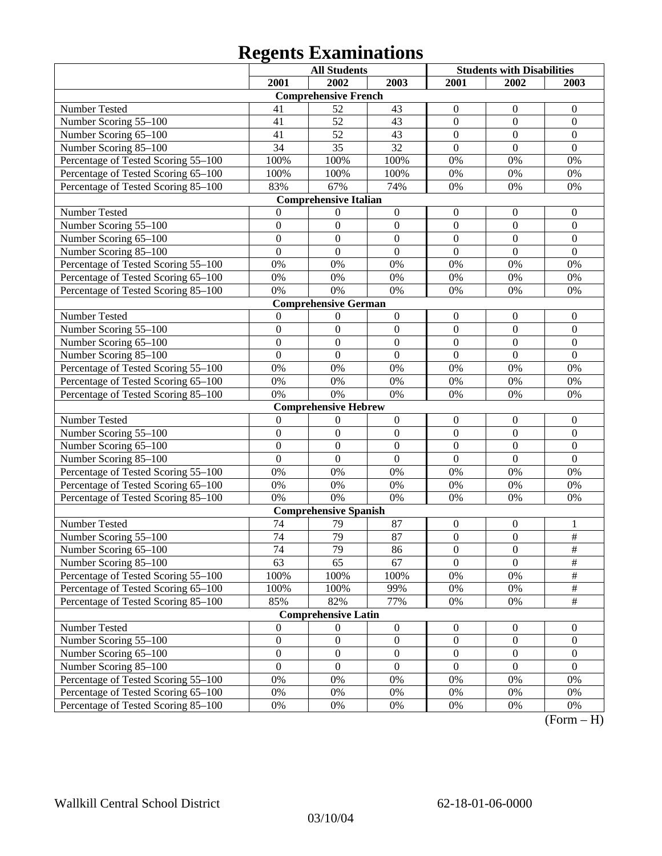|                                     |                  | <b>All Students</b>          |                  | <b>Students with Disabilities</b> |                  |                  |
|-------------------------------------|------------------|------------------------------|------------------|-----------------------------------|------------------|------------------|
|                                     | 2001             | 2002                         | 2003             | 2001                              | 2002             | 2003             |
|                                     |                  | <b>Comprehensive French</b>  |                  |                                   |                  |                  |
| Number Tested                       | 41               | 52                           | 43               | $\theta$                          | $\theta$         | $\overline{0}$   |
| Number Scoring 55-100               | 41               | 52                           | 43               | $\boldsymbol{0}$                  | $\boldsymbol{0}$ | $\boldsymbol{0}$ |
| Number Scoring 65-100               | 41               | 52                           | 43               | $\boldsymbol{0}$                  | $\overline{0}$   | $\boldsymbol{0}$ |
| Number Scoring 85-100               | 34               | 35                           | 32               | $\overline{0}$                    | $\overline{0}$   | $\mathbf{0}$     |
| Percentage of Tested Scoring 55-100 | 100%             | 100%                         | 100%             | 0%                                | 0%               | 0%               |
| Percentage of Tested Scoring 65-100 | 100%             | 100%                         | 100%             | 0%                                | 0%               | 0%               |
| Percentage of Tested Scoring 85-100 | 83%              | 67%                          | 74%              | 0%                                | 0%               | 0%               |
|                                     |                  | <b>Comprehensive Italian</b> |                  |                                   |                  |                  |
| Number Tested                       | $\theta$         | $\boldsymbol{0}$             | $\boldsymbol{0}$ | $\boldsymbol{0}$                  | $\boldsymbol{0}$ | $\boldsymbol{0}$ |
| Number Scoring 55-100               | $\boldsymbol{0}$ | $\mathbf{0}$                 | $\mathbf{0}$     | $\boldsymbol{0}$                  | $\boldsymbol{0}$ | $\boldsymbol{0}$ |
| Number Scoring 65-100               | $\overline{0}$   | $\mathbf{0}$                 | $\boldsymbol{0}$ | $\boldsymbol{0}$                  | $\boldsymbol{0}$ | $\mathbf{0}$     |
| Number Scoring 85-100               | $\overline{0}$   | $\boldsymbol{0}$             | $\overline{0}$   | $\mathbf{0}$                      | $\overline{0}$   | $\mathbf{0}$     |
| Percentage of Tested Scoring 55-100 | 0%               | 0%                           | 0%               | 0%                                | 0%               | 0%               |
| Percentage of Tested Scoring 65-100 | 0%               | 0%                           | 0%               | 0%                                | 0%               | 0%               |
| Percentage of Tested Scoring 85-100 | 0%               | 0%                           | 0%               | 0%                                | 0%               | 0%               |
|                                     |                  | <b>Comprehensive German</b>  |                  |                                   |                  |                  |
| Number Tested                       | $\theta$         | $\boldsymbol{0}$             | $\boldsymbol{0}$ | $\boldsymbol{0}$                  | $\boldsymbol{0}$ | $\boldsymbol{0}$ |
| Number Scoring 55-100               | $\boldsymbol{0}$ | $\boldsymbol{0}$             | $\boldsymbol{0}$ | $\boldsymbol{0}$                  | $\boldsymbol{0}$ | $\boldsymbol{0}$ |
| Number Scoring 65-100               | $\mathbf{0}$     | $\mathbf{0}$                 | $\boldsymbol{0}$ | $\mathbf{0}$                      | $\mathbf{0}$     | $\mathbf{0}$     |
| Number Scoring 85-100               | $\overline{0}$   | $\overline{0}$               | $\overline{0}$   | $\overline{0}$                    | $\overline{0}$   | $\overline{0}$   |
| Percentage of Tested Scoring 55-100 | 0%               | 0%                           | 0%               | 0%                                | 0%               | 0%               |
| Percentage of Tested Scoring 65-100 | 0%               | 0%                           | 0%               | 0%                                | 0%               | 0%               |
| Percentage of Tested Scoring 85-100 | 0%               | 0%                           | 0%               | 0%                                | 0%               | 0%               |
|                                     |                  | <b>Comprehensive Hebrew</b>  |                  |                                   |                  |                  |
| Number Tested                       | $\mathbf{0}$     | $\boldsymbol{0}$             | $\boldsymbol{0}$ | $\boldsymbol{0}$                  | $\boldsymbol{0}$ | $\boldsymbol{0}$ |
| Number Scoring 55-100               | $\boldsymbol{0}$ | $\mathbf{0}$                 | $\boldsymbol{0}$ | $\boldsymbol{0}$                  | $\boldsymbol{0}$ | $\boldsymbol{0}$ |
| Number Scoring 65-100               | $\mathbf{0}$     | $\mathbf{0}$                 | $\boldsymbol{0}$ | $\mathbf{0}$                      | $\mathbf{0}$     | $\boldsymbol{0}$ |
| Number Scoring 85-100               | $\overline{0}$   | $\boldsymbol{0}$             | $\overline{0}$   | $\mathbf{0}$                      | $\overline{0}$   | $\mathbf{0}$     |
| Percentage of Tested Scoring 55-100 | 0%               | 0%                           | 0%               | 0%                                | 0%               | 0%               |
| Percentage of Tested Scoring 65-100 | 0%               | 0%                           | 0%               | 0%                                | 0%               | 0%               |
| Percentage of Tested Scoring 85-100 | 0%               | 0%                           | 0%               | 0%                                | 0%               | 0%               |
|                                     |                  | <b>Comprehensive Spanish</b> |                  |                                   |                  |                  |
| Number Tested                       | 74               | 79                           | 87               | $\boldsymbol{0}$                  | $\boldsymbol{0}$ | 1                |
| Number Scoring 55-100               | 74               | 79                           | 87               | $\boldsymbol{0}$                  | $\boldsymbol{0}$ | $\#$             |
| Number Scoring 65–100               | 74               | 79                           | 86               | $\boldsymbol{0}$                  | $\boldsymbol{0}$ | $\#$             |
| Number Scoring 85-100               | 63               | 65                           | 67               | $\overline{0}$                    | $\overline{0}$   | $\overline{\#}$  |
| Percentage of Tested Scoring 55-100 | 100%             | 100%                         | 100%             | 0%                                | $0\%$            | $\#$             |
| Percentage of Tested Scoring 65-100 | 100%             | 100%                         | 99%              | 0%                                | 0%               | $\#$             |
| Percentage of Tested Scoring 85-100 | 85%              | 82%                          | 77%              | 0%                                | 0%               | $\#$             |
|                                     |                  | <b>Comprehensive Latin</b>   |                  |                                   |                  |                  |
| Number Tested                       | $\boldsymbol{0}$ | $\boldsymbol{0}$             | $\boldsymbol{0}$ | $\boldsymbol{0}$                  | $\mathbf{0}$     | $\boldsymbol{0}$ |
| Number Scoring 55-100               | $\boldsymbol{0}$ | $\boldsymbol{0}$             | $\boldsymbol{0}$ | $\boldsymbol{0}$                  | $\boldsymbol{0}$ | $\boldsymbol{0}$ |
| Number Scoring 65-100               | $\boldsymbol{0}$ | $\boldsymbol{0}$             | $\boldsymbol{0}$ | $\boldsymbol{0}$                  | $\boldsymbol{0}$ | $\overline{0}$   |
| Number Scoring 85-100               | $\mathbf{0}$     | $\boldsymbol{0}$             | $\mathbf{0}$     | $\boldsymbol{0}$                  | $\boldsymbol{0}$ | $\Omega$         |
| Percentage of Tested Scoring 55-100 | 0%               | 0%                           | 0%               | 0%                                | $0\%$            | 0%               |
| Percentage of Tested Scoring 65-100 | 0%               | 0%                           | 0%               | 0%                                | 0%               | 0%               |
| Percentage of Tested Scoring 85-100 | 0%               | 0%                           | 0%               | 0%                                | 0%               | 0%<br>$\sqrt{ }$ |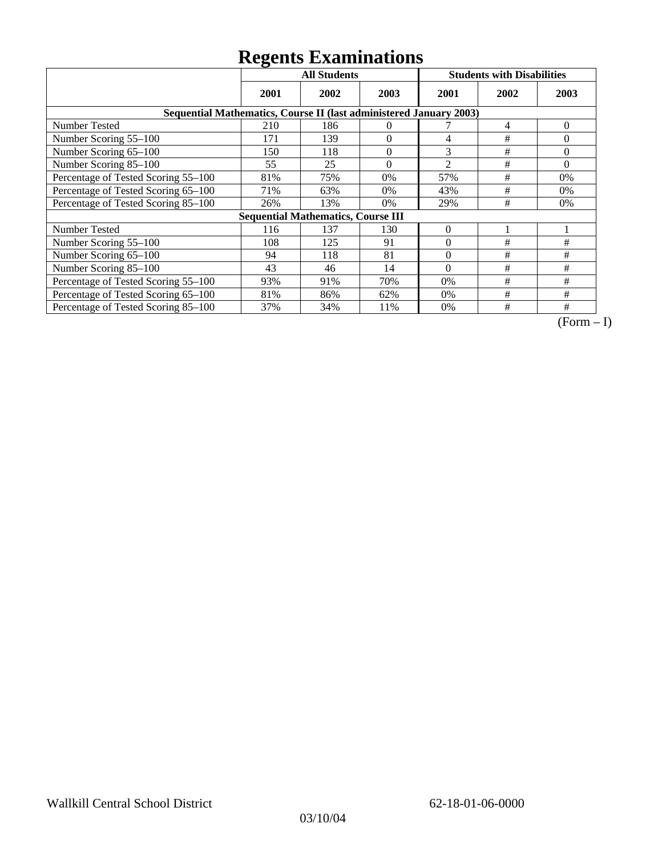|                                                                    | <b>All Students</b> |                                           |          | <b>Students with Disabilities</b> |      |          |
|--------------------------------------------------------------------|---------------------|-------------------------------------------|----------|-----------------------------------|------|----------|
|                                                                    | 2001                | 2002                                      | 2003     | 2001                              | 2002 | 2003     |
| Sequential Mathematics, Course II (last administered January 2003) |                     |                                           |          |                                   |      |          |
| <b>Number Tested</b>                                               | 210                 | 186                                       | $\Omega$ |                                   | 4    | $\theta$ |
| Number Scoring 55-100                                              | 171                 | 139                                       | $\theta$ | 4                                 | #    | $\Omega$ |
| Number Scoring 65-100                                              | 150                 | 118                                       | $\theta$ | 3                                 | #    | $\Omega$ |
| Number Scoring 85-100                                              | 55                  | 25                                        | $\theta$ | $\overline{2}$                    | #    | $\Omega$ |
| Percentage of Tested Scoring 55-100                                | 81%                 | 75%                                       | 0%       | 57%                               | #    | 0%       |
| Percentage of Tested Scoring 65-100                                | 71%                 | 63%                                       | 0%       | 43%                               | #    | $0\%$    |
| Percentage of Tested Scoring 85-100                                | 26%                 | 13%                                       | 0%       | 29%                               | #    | 0%       |
|                                                                    |                     | <b>Sequential Mathematics, Course III</b> |          |                                   |      |          |
| <b>Number Tested</b>                                               | 116                 | 137                                       | 130      | $\theta$                          |      |          |
| Number Scoring 55–100                                              | 108                 | 125                                       | 91       | $\theta$                          | #    | #        |
| Number Scoring 65-100                                              | 94                  | 118                                       | 81       | $\theta$                          | #    | #        |
| Number Scoring 85-100                                              | 43                  | 46                                        | 14       | $\Omega$                          | #    | #        |
| Percentage of Tested Scoring 55-100                                | 93%                 | 91%                                       | 70%      | 0%                                | #    | #        |
| Percentage of Tested Scoring 65-100                                | 81%                 | 86%                                       | 62%      | $0\%$                             | #    | #        |
| Percentage of Tested Scoring 85-100                                | 37%                 | 34%                                       | 11%      | 0%                                | #    | #        |

 $\overline{(Form-I)}$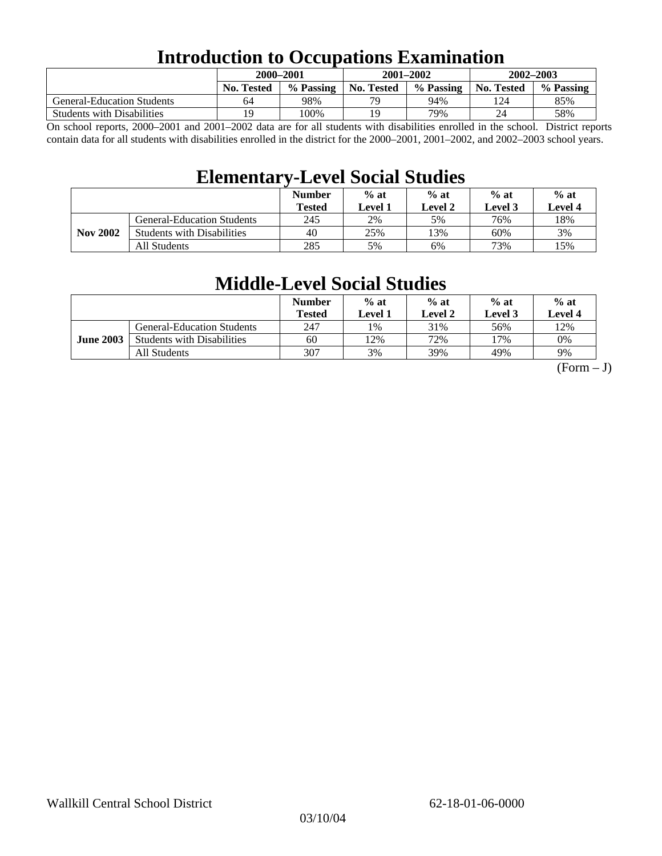### **Introduction to Occupations Examination**

|                                   | 2000-2001         |           | $2001 - 2002$ |           | $2002 - 2003$ |           |  |
|-----------------------------------|-------------------|-----------|---------------|-----------|---------------|-----------|--|
|                                   | <b>No. Tested</b> | % Passing | No. Tested    | % Passing | No. Tested    | % Passing |  |
| <b>General-Education Students</b> | 64                | 98%       | 70            | 94%       | l 24          | 85%       |  |
| <b>Students with Disabilities</b> | 19                | 100%      | 19            | 79%       | 24            | 58%       |  |

On school reports, 2000–2001 and 2001–2002 data are for all students with disabilities enrolled in the school. District reports contain data for all students with disabilities enrolled in the district for the 2000–2001, 2001–2002, and 2002–2003 school years.

### **Elementary-Level Social Studies**

|                 |                                   | <b>Number</b><br><b>Tested</b> | $%$ at<br>Level 1 | $%$ at<br>Level 2 | $%$ at<br>Level 3 | $%$ at<br>Level 4 |
|-----------------|-----------------------------------|--------------------------------|-------------------|-------------------|-------------------|-------------------|
| <b>Nov 2002</b> | <b>General-Education Students</b> | 245                            | 2%                | 5%                | 76%               | 18%               |
|                 | <b>Students with Disabilities</b> | 40                             | 25%               | 13%               | 60%               | 3%                |
|                 | All Students                      | 285                            | 5%                | 6%                | 73%               | 15%               |

### **Middle-Level Social Studies**

|                  |                                   | <b>Number</b><br>Tested | $%$ at<br>Level 1 | $%$ at<br>Level 2 | $%$ at<br>Level 3 | $%$ at<br>Level 4 |
|------------------|-----------------------------------|-------------------------|-------------------|-------------------|-------------------|-------------------|
| <b>June 2003</b> | <b>General-Education Students</b> | 247                     | $1\%$             | 31%               | 56%               | 12%               |
|                  | <b>Students with Disabilities</b> | 60                      | 12%               | 72%               | 17%               | 0%                |
|                  | All Students                      | 307                     | 3%                | 39%               | 49%               | 9%                |

 $(Form - J)$